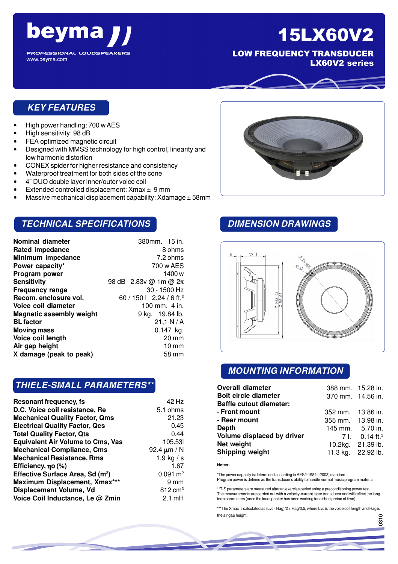

LOW FREQUENCY TRANSDUCER LX60V2 series

## **KEY FEATURES**

• High power handling: 700 w AES

beyma

**PROFESSIONAL LOUDSPEAKERS** 

• High sensitivity: 98 dB

www.beyma.com

- FEA optimized magnetic circuit
- Designed with MMSS technology for high control, linearity and low harmonic distortion
- CONEX spider for higher resistance and consistency
- Waterproof treatment for both sides of the cone
- 4" DUO double layer inner/outer voice coil
- Extended controlled displacement: Xmax ± 9 mm
- Massive mechanical displacement capability: Xdamage ± 58mm

## **TECHNICAL SPECIFICATIONS**

| <b>Nominal diameter</b>         | 380mm. 15 in.                        |
|---------------------------------|--------------------------------------|
| <b>Rated impedance</b>          | 8 ohms                               |
| Minimum impedance               | 7.2 ohms                             |
| Power capacity*                 | 700 w AES                            |
| Program power                   | 1400 w                               |
| Sensitivity                     | 98 dB $2.83v$ @ 1m @ $2\pi$          |
| <b>Frequency range</b>          | $30 - 1500$ Hz                       |
| Recom. enclosure vol.           | 60 / 150   2.24 / 6 ft. <sup>3</sup> |
| Voice coil diameter             | 100 mm. $4$ in.                      |
| <b>Magnetic assembly weight</b> | 9 kg. 19.84 lb.                      |
| <b>BL</b> factor                | 21,1 N/A                             |
| <b>Moving mass</b>              | $0.147$ kg.                          |
| Voice coil length               | $20 \text{ mm}$                      |
| Air gap height                  | $10 \text{ mm}$                      |
| X damage (peak to peak)         | 58 mm                                |

### **THIELE-SMALL PARAMETERS\*\***

| Resonant frequency, fs                       | 42 Hz               |
|----------------------------------------------|---------------------|
| D.C. Voice coil resistance, Re               | 5.1 ohms            |
| <b>Mechanical Quality Factor, Qms</b>        | 21.23               |
| <b>Electrical Quality Factor, Qes</b>        | 0.45                |
| <b>Total Quality Factor, Qts</b>             | 0.44                |
| <b>Equivalent Air Volume to Cms, Vas</b>     | 105.53              |
| <b>Mechanical Compliance, Cms</b>            | 92.4 $\mu$ m / N    |
| <b>Mechanical Resistance, Rms</b>            | 1.9 kg $/s$         |
| Efficiency, $\eta$ o (%)                     | 1.67                |
| Effective Surface Area, Sd (m <sup>2</sup> ) | $0.091 \text{ m}^2$ |
| Maximum Displacement, Xmax***                | 9 mm                |
| Displacement Volume, Vd                      | $812 \text{ cm}^3$  |
| Voice Coil Inductance, Le @ Zmin             | $2.1 \text{ mH}$    |

# **DIMENSION DRAWINGS**



## **MOUNTING INFORMATION**

| <b>Overall diameter</b>        | 388 mm. 15.28 in. |                              |
|--------------------------------|-------------------|------------------------------|
| <b>Bolt circle diameter</b>    | 370 mm. 14.56 in. |                              |
| <b>Baffle cutout diameter:</b> |                   |                              |
| - Front mount                  | 352 mm. 13.86 in. |                              |
| - Rear mount                   | 355 mm. 13.98 in. |                              |
| <b>Depth</b>                   | 145 mm. 5.70 in.  |                              |
| Volume displaced by driver     |                   | 7 l. $0.14$ ft. <sup>3</sup> |
| Net weight                     |                   | 10.2kg. 21.39 lb.            |
| <b>Shipping weight</b>         |                   | 11.3 kg. 22.92 lb.           |

**Notes:**

\*The power capacity is determined according to AES2-1984 (r2003) standard. Program power is defined as the transducer's ability to handle normal music program material.

\*\*T-S parameters are measured after an exercise period using a preconditioning power test. The measurements are carried out with a velocity-current laser transducer and will reflect the long term parameters (once the loudspeaker has been working for a short period of time).

\*\*\*The Xmax is calculated as (Lvc - Hag)/2 + Hag/3.5, where Lvc is the voice coil length and Hag is the air gap height.

056

.<br>მ